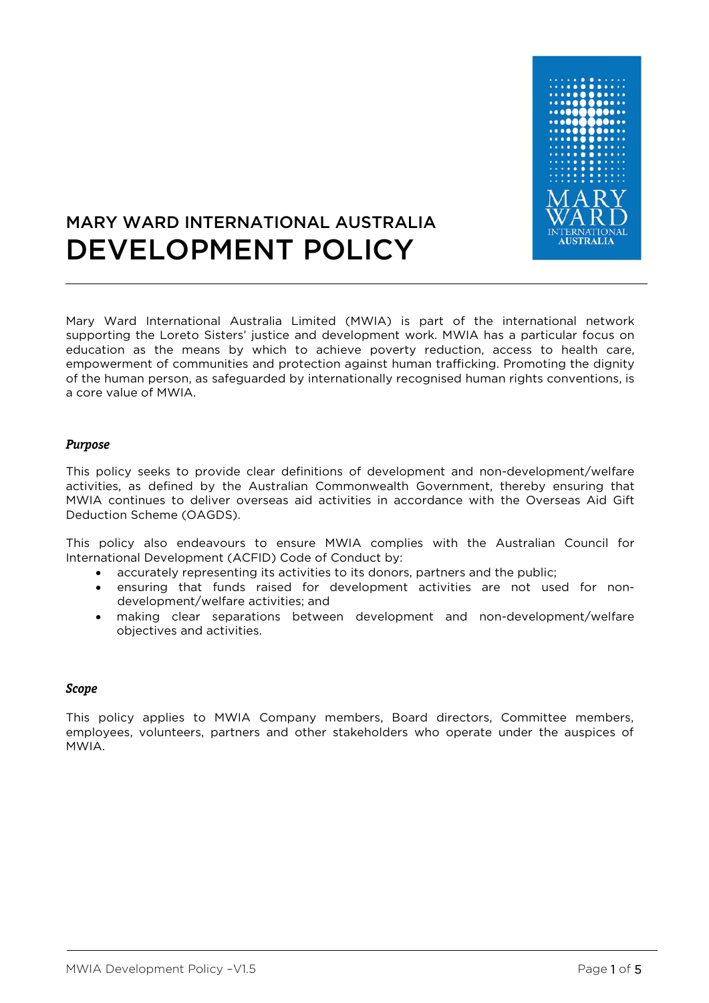

# MARY WARD INTERNATIONAL AUSTRALIA DEVELOPMENT POLICY

Mary Ward International Australia Limited (MWIA) is part of the international network supporting the Loreto Sisters' justice and development work. MWIA has a particular focus on education as the means by which to achieve poverty reduction, access to health care, empowerment of communities and protection against human trafficking. Promoting the dignity of the human person, as safeguarded by internationally recognised human rights conventions, is a core value of MWIA.

### **Purpose**

This policy seeks to provide clear definitions of development and non-development/welfare activities, as defined by the Australian Commonwealth Government, thereby ensuring that MWIA continues to deliver overseas aid activities in accordance with the Overseas Aid Gift Deduction Scheme (OAGDS).

This policy also endeavours to ensure MWIA complies with the Australian Council for International Development (ACFID) Code of Conduct by:

- accurately representing its activities to its donors, partners and the public;
- ensuring that funds raised for development activities are not used for nondevelopment/welfare activities; and
- making clear separations between development and non-development/welfare objectives and activities.

#### **Scope**

This policy applies to MWIA Company members, Board directors, Committee members, employees, volunteers, partners and other stakeholders who operate under the auspices of MWIA.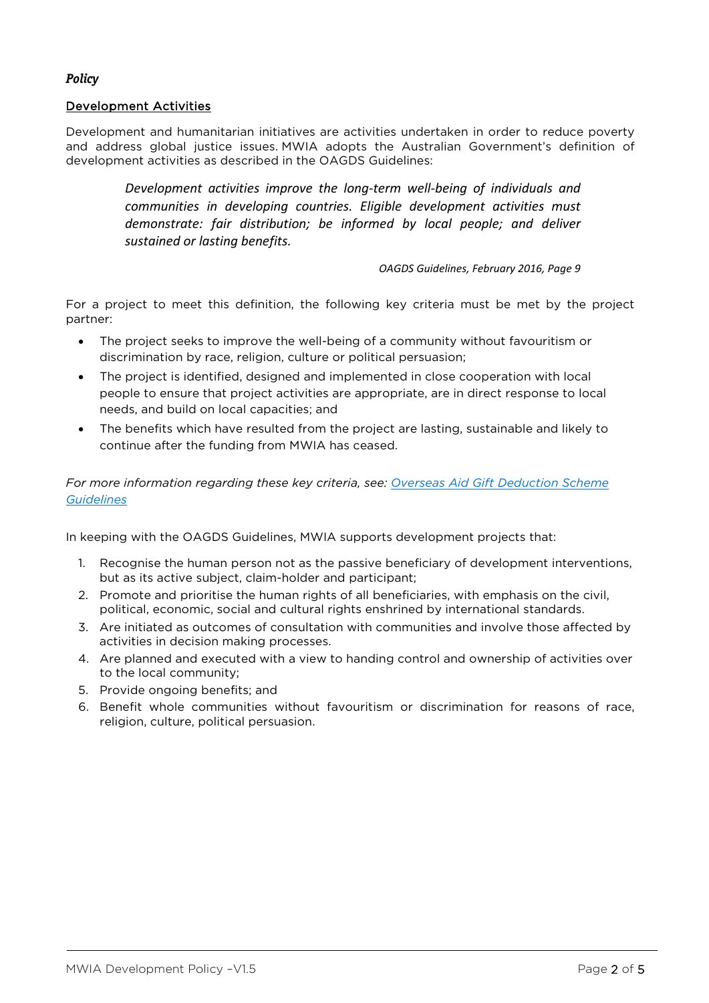# **Policy**

## Development Activities

Development and humanitarian initiatives are activities undertaken in order to reduce poverty and address global justice issues. MWIA adopts the Australian Government's definition of development activities as described in the OAGDS Guidelines:

> *Development activities improve the long-term well-being of individuals and communities in developing countries. Eligible development activities must demonstrate: fair distribution; be informed by local people; and deliver sustained or lasting benefits.*

> > *OAGDS Guidelines, February 2016, Page 9*

For a project to meet this definition, the following key criteria must be met by the project partner:

- The project seeks to improve the well-being of a community without favouritism or discrimination by race, religion, culture or political persuasion;
- The project is identified, designed and implemented in close cooperation with local people to ensure that project activities are appropriate, are in direct response to local needs, and build on local capacities; and
- The benefits which have resulted from the project are lasting, sustainable and likely to continue after the funding from MWIA has ceased.

*For more information regarding these key criteria, see: [Overseas Aid Gift Deduction Scheme](https://dfat.gov.au/about-us/publications/Documents/oagds-guidelines.pdf)  [Guidelines](https://dfat.gov.au/about-us/publications/Documents/oagds-guidelines.pdf)* 

In keeping with the OAGDS Guidelines, MWIA supports development projects that:

- 1. Recognise the human person not as the passive beneficiary of development interventions, but as its active subject, claim-holder and participant;
- 2. Promote and prioritise the human rights of all beneficiaries, with emphasis on the civil, political, economic, social and cultural rights enshrined by international standards.
- 3. Are initiated as outcomes of consultation with communities and involve those affected by activities in decision making processes.
- 4. Are planned and executed with a view to handing control and ownership of activities over to the local community;
- 5. Provide ongoing benefits; and
- 6. Benefit whole communities without favouritism or discrimination for reasons of race, religion, culture, political persuasion.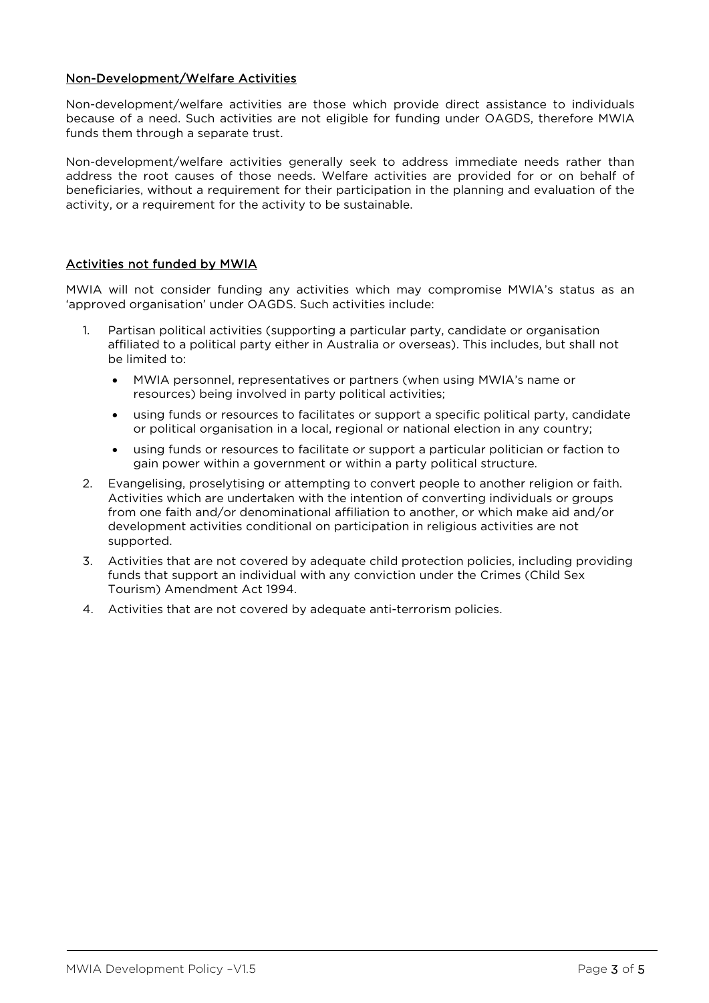# Non-Development/Welfare Activities

Non-development/welfare activities are those which provide direct assistance to individuals because of a need. Such activities are not eligible for funding under OAGDS, therefore MWIA funds them through a separate trust.

Non-development/welfare activities generally seek to address immediate needs rather than address the root causes of those needs. Welfare activities are provided for or on behalf of beneficiaries, without a requirement for their participation in the planning and evaluation of the activity, or a requirement for the activity to be sustainable.

# Activities not funded by MWIA

MWIA will not consider funding any activities which may compromise MWIA's status as an 'approved organisation' under OAGDS. Such activities include:

- 1. Partisan political activities (supporting a particular party, candidate or organisation affiliated to a political party either in Australia or overseas). This includes, but shall not be limited to:
	- MWIA personnel, representatives or partners (when using MWIA's name or resources) being involved in party political activities;
	- using funds or resources to facilitates or support a specific political party, candidate or political organisation in a local, regional or national election in any country;
	- using funds or resources to facilitate or support a particular politician or faction to gain power within a government or within a party political structure.
- 2. Evangelising, proselytising or attempting to convert people to another religion or faith. Activities which are undertaken with the intention of converting individuals or groups from one faith and/or denominational affiliation to another, or which make aid and/or development activities conditional on participation in religious activities are not supported.
- 3. Activities that are not covered by adequate child protection policies, including providing funds that support an individual with any conviction under the Crimes (Child Sex Tourism) Amendment Act 1994.
- 4. Activities that are not covered by adequate anti-terrorism policies.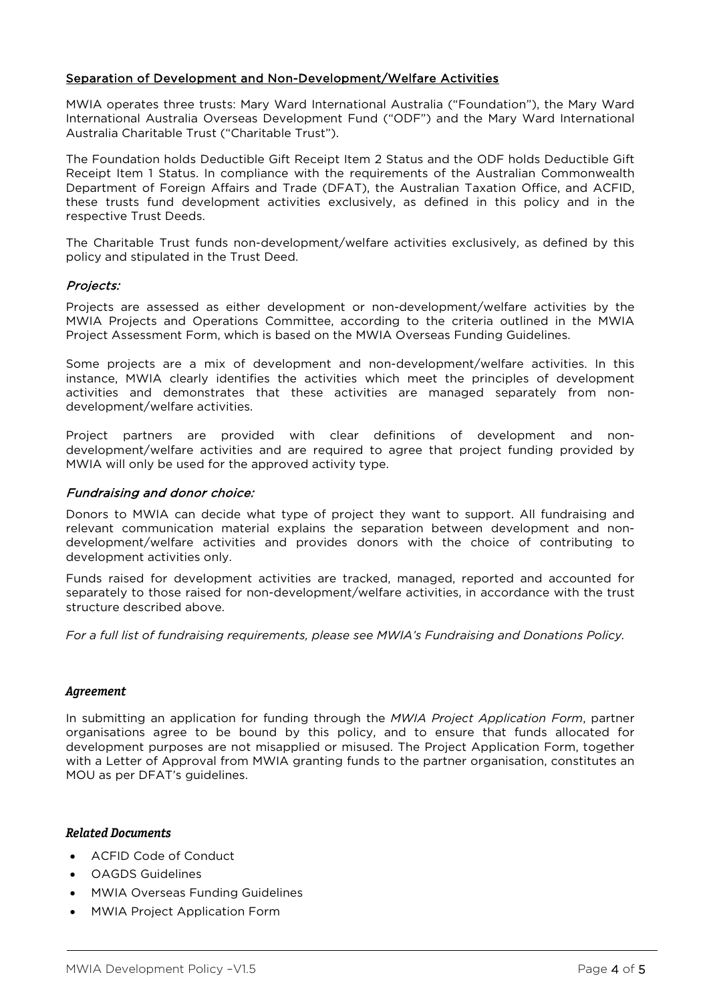## Separation of Development and Non-Development/Welfare Activities

MWIA operates three trusts: Mary Ward International Australia ("Foundation"), the Mary Ward International Australia Overseas Development Fund ("ODF") and the Mary Ward International Australia Charitable Trust ("Charitable Trust").

The Foundation holds Deductible Gift Receipt Item 2 Status and the ODF holds Deductible Gift Receipt Item 1 Status. In compliance with the requirements of the Australian Commonwealth Department of Foreign Affairs and Trade (DFAT), the Australian Taxation Office, and ACFID, these trusts fund development activities exclusively, as defined in this policy and in the respective Trust Deeds.

The Charitable Trust funds non-development/welfare activities exclusively, as defined by this policy and stipulated in the Trust Deed.

## Projects:

Projects are assessed as either development or non-development/welfare activities by the MWIA Projects and Operations Committee, according to the criteria outlined in the MWIA Project Assessment Form, which is based on the MWIA Overseas Funding Guidelines.

Some projects are a mix of development and non-development/welfare activities. In this instance, MWIA clearly identifies the activities which meet the principles of development activities and demonstrates that these activities are managed separately from nondevelopment/welfare activities.

Project partners are provided with clear definitions of development and nondevelopment/welfare activities and are required to agree that project funding provided by MWIA will only be used for the approved activity type.

## Fundraising and donor choice:

Donors to MWIA can decide what type of project they want to support. All fundraising and relevant communication material explains the separation between development and nondevelopment/welfare activities and provides donors with the choice of contributing to development activities only.

Funds raised for development activities are tracked, managed, reported and accounted for separately to those raised for non-development/welfare activities, in accordance with the trust structure described above.

*For a full list of fundraising requirements, please see MWIA's Fundraising and Donations Policy.*

#### **Agreement**

In submitting an application for funding through the *MWIA Project Application Form*, partner organisations agree to be bound by this policy, and to ensure that funds allocated for development purposes are not misapplied or misused. The Project Application Form, together with a Letter of Approval from MWIA granting funds to the partner organisation, constitutes an MOU as per DFAT's guidelines.

#### **Related Documents**

- ACFID Code of Conduct
- OAGDS Guidelines
- MWIA Overseas Funding Guidelines
- MWIA Project Application Form